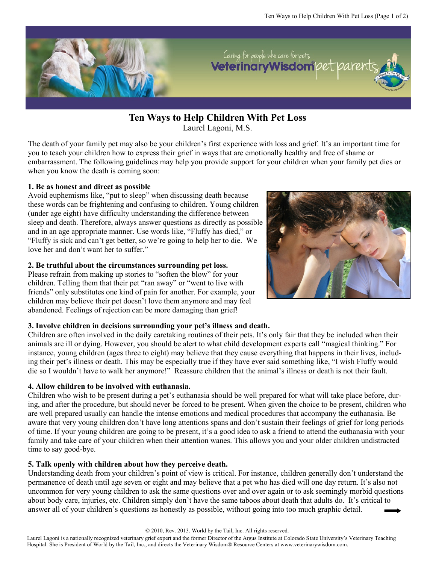

**Ten Ways to Help Children With Pet Loss**

Laurel Lagoni, M.S.

The death of your family pet may also be your children's first experience with loss and grief. It's an important time for you to teach your children how to express their grief in ways that are emotionally healthy and free of shame or embarrassment. The following guidelines may help you provide support for your children when your family pet dies or when you know the death is coming soon:

### **1. Be as honest and direct as possible**

Avoid euphemisms like, "put to sleep" when discussing death because these words can be frightening and confusing to children. Young children (under age eight) have difficulty understanding the difference between sleep and death. Therefore, always answer questions as directly as possible and in an age appropriate manner. Use words like, "Fluffy has died," or "Fluffy is sick and can't get better, so we're going to help her to die. We love her and don't want her to suffer."

### **2. Be truthful about the circumstances surrounding pet loss.**

Please refrain from making up stories to "soften the blow" for your children. Telling them that their pet "ran away" or "went to live with friends" only substitutes one kind of pain for another. For example, your children may believe their pet doesn't love them anymore and may feel abandoned. Feelings of rejection can be more damaging than grief!



### **3. Involve children in decisions surrounding your pet's illness and death.**

Children are often involved in the daily caretaking routines of their pets. It's only fair that they be included when their animals are ill or dying. However, you should be alert to what child development experts call "magical thinking." For instance, young children (ages three to eight) may believe that they cause everything that happens in their lives, including their pet's illness or death. This may be especially true if they have ever said something like, "I wish Fluffy would die so I wouldn't have to walk her anymore!" Reassure children that the animal's illness or death is not their fault.

# **4. Allow children to be involved with euthanasia.**

Children who wish to be present during a pet's euthanasia should be well prepared for what will take place before, during, and after the procedure, but should never be forced to be present. When given the choice to be present, children who are well prepared usually can handle the intense emotions and medical procedures that accompany the euthanasia. Be aware that very young children don't have long attentions spans and don't sustain their feelings of grief for long periods of time. If your young children are going to be present, it's a good idea to ask a friend to attend the euthanasia with your family and take care of your children when their attention wanes. This allows you and your older children undistracted time to say good-bye.

# **5. Talk openly with children about how they perceive death.**

Understanding death from your children's point of view is critical. For instance, children generally don't understand the permanence of death until age seven or eight and may believe that a pet who has died will one day return. It's also not uncommon for very young children to ask the same questions over and over again or to ask seemingly morbid questions about body care, injuries, etc. Children simply don't have the same taboos about death that adults do. It's critical to answer all of your children's questions as honestly as possible, without going into too much graphic detail.

© 2010, Rev. 2013. World by the Tail, Inc. All rights reserved.

Laurel Lagoni is a nationally recognized veterinary grief expert and the former Director of the Argus Institute at Colorado State University's Veterinary Teaching Hospital. She is President of World by the Tail, Inc., and directs the Veterinary Wisdom® Resource Centers at www.veterinarywisdom.com.